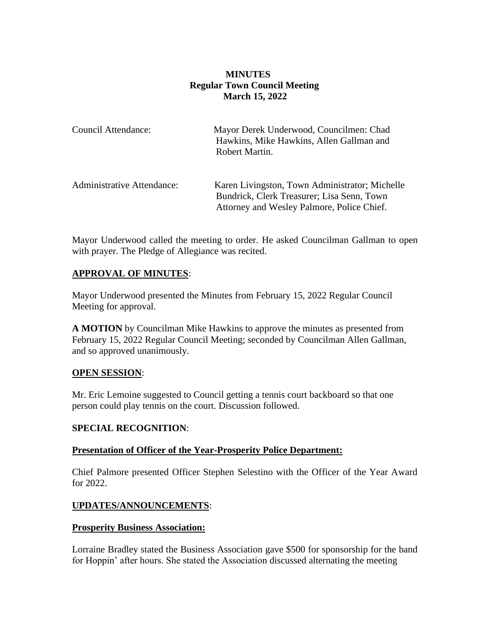## **MINUTES Regular Town Council Meeting March 15, 2022**

| Council Attendance:               | Mayor Derek Underwood, Councilmen: Chad<br>Hawkins, Mike Hawkins, Allen Gallman and<br>Robert Martin.                                      |
|-----------------------------------|--------------------------------------------------------------------------------------------------------------------------------------------|
| <b>Administrative Attendance:</b> | Karen Livingston, Town Administrator; Michelle<br>Bundrick, Clerk Treasurer; Lisa Senn, Town<br>Attorney and Wesley Palmore, Police Chief. |

Mayor Underwood called the meeting to order. He asked Councilman Gallman to open with prayer. The Pledge of Allegiance was recited.

## **APPROVAL OF MINUTES**:

Mayor Underwood presented the Minutes from February 15, 2022 Regular Council Meeting for approval.

**A MOTION** by Councilman Mike Hawkins to approve the minutes as presented from February 15, 2022 Regular Council Meeting; seconded by Councilman Allen Gallman, and so approved unanimously.

### **OPEN SESSION**:

Mr. Eric Lemoine suggested to Council getting a tennis court backboard so that one person could play tennis on the court. Discussion followed.

### **SPECIAL RECOGNITION**:

### **Presentation of Officer of the Year-Prosperity Police Department:**

Chief Palmore presented Officer Stephen Selestino with the Officer of the Year Award for 2022.

### **UPDATES/ANNOUNCEMENTS**:

#### **Prosperity Business Association:**

Lorraine Bradley stated the Business Association gave \$500 for sponsorship for the band for Hoppin' after hours. She stated the Association discussed alternating the meeting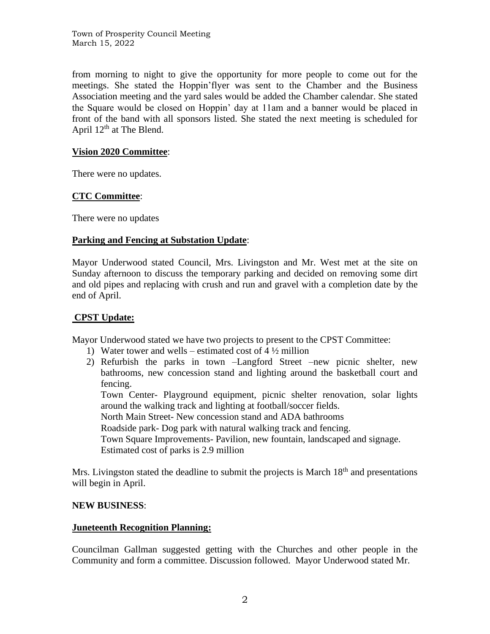from morning to night to give the opportunity for more people to come out for the meetings. She stated the Hoppin'flyer was sent to the Chamber and the Business Association meeting and the yard sales would be added the Chamber calendar. She stated the Square would be closed on Hoppin' day at 11am and a banner would be placed in front of the band with all sponsors listed. She stated the next meeting is scheduled for April  $12^{th}$  at The Blend.

### **Vision 2020 Committee**:

There were no updates.

### **CTC Committee**:

There were no updates

### **Parking and Fencing at Substation Update**:

Mayor Underwood stated Council, Mrs. Livingston and Mr. West met at the site on Sunday afternoon to discuss the temporary parking and decided on removing some dirt and old pipes and replacing with crush and run and gravel with a completion date by the end of April.

### **CPST Update:**

Mayor Underwood stated we have two projects to present to the CPST Committee:

- 1) Water tower and wells estimated cost of  $4\frac{1}{2}$  million
- 2) Refurbish the parks in town –Langford Street –new picnic shelter, new bathrooms, new concession stand and lighting around the basketball court and fencing.

Town Center- Playground equipment, picnic shelter renovation, solar lights around the walking track and lighting at football/soccer fields.

North Main Street- New concession stand and ADA bathrooms

Roadside park- Dog park with natural walking track and fencing.

Town Square Improvements- Pavilion, new fountain, landscaped and signage. Estimated cost of parks is 2.9 million

Mrs. Livingston stated the deadline to submit the projects is March  $18<sup>th</sup>$  and presentations will begin in April.

### **NEW BUSINESS**:

### **Juneteenth Recognition Planning:**

Councilman Gallman suggested getting with the Churches and other people in the Community and form a committee. Discussion followed. Mayor Underwood stated Mr.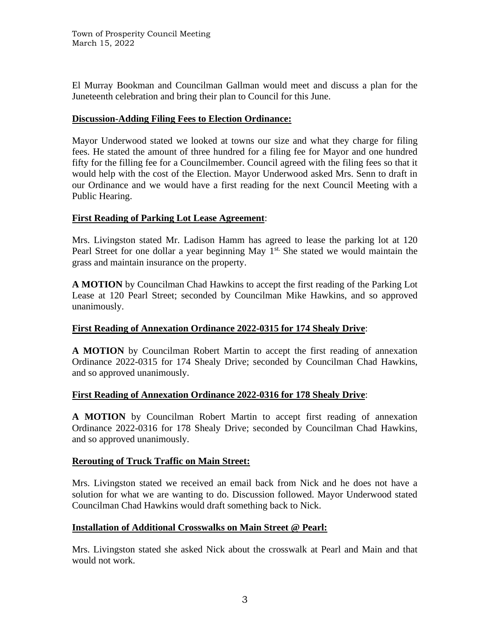El Murray Bookman and Councilman Gallman would meet and discuss a plan for the Juneteenth celebration and bring their plan to Council for this June.

### **Discussion-Adding Filing Fees to Election Ordinance:**

Mayor Underwood stated we looked at towns our size and what they charge for filing fees. He stated the amount of three hundred for a filing fee for Mayor and one hundred fifty for the filling fee for a Councilmember. Council agreed with the filing fees so that it would help with the cost of the Election. Mayor Underwood asked Mrs. Senn to draft in our Ordinance and we would have a first reading for the next Council Meeting with a Public Hearing.

### **First Reading of Parking Lot Lease Agreement**:

Mrs. Livingston stated Mr. Ladison Hamm has agreed to lease the parking lot at 120 Pearl Street for one dollar a year beginning May  $1<sup>st</sup>$ . She stated we would maintain the grass and maintain insurance on the property.

**A MOTION** by Councilman Chad Hawkins to accept the first reading of the Parking Lot Lease at 120 Pearl Street; seconded by Councilman Mike Hawkins, and so approved unanimously.

## **First Reading of Annexation Ordinance 2022-0315 for 174 Shealy Drive**:

**A MOTION** by Councilman Robert Martin to accept the first reading of annexation Ordinance 2022-0315 for 174 Shealy Drive; seconded by Councilman Chad Hawkins, and so approved unanimously.

## **First Reading of Annexation Ordinance 2022-0316 for 178 Shealy Drive**:

**A MOTION** by Councilman Robert Martin to accept first reading of annexation Ordinance 2022-0316 for 178 Shealy Drive; seconded by Councilman Chad Hawkins, and so approved unanimously.

## **Rerouting of Truck Traffic on Main Street:**

Mrs. Livingston stated we received an email back from Nick and he does not have a solution for what we are wanting to do. Discussion followed. Mayor Underwood stated Councilman Chad Hawkins would draft something back to Nick.

## **Installation of Additional Crosswalks on Main Street @ Pearl:**

Mrs. Livingston stated she asked Nick about the crosswalk at Pearl and Main and that would not work.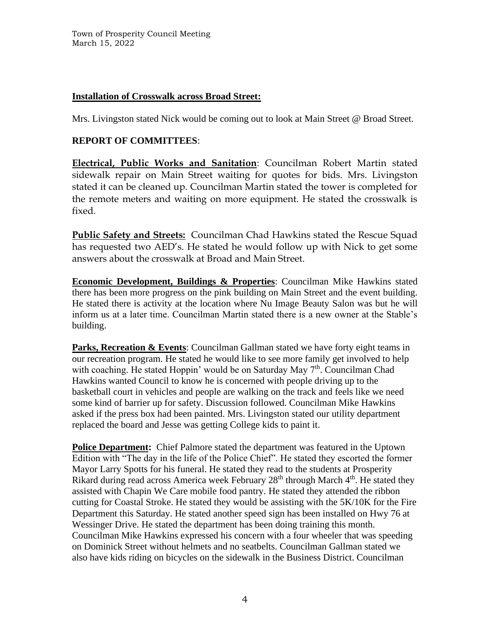## **Installation of Crosswalk across Broad Street:**

Mrs. Livingston stated Nick would be coming out to look at Main Street @ Broad Street.

# **REPORT OF COMMITTEES**:

**Electrical, Public Works and Sanitation**: Councilman Robert Martin stated sidewalk repair on Main Street waiting for quotes for bids. Mrs. Livingston stated it can be cleaned up. Councilman Martin stated the tower is completed for the remote meters and waiting on more equipment. He stated the crosswalk is fixed.

**Public Safety and Streets:** Councilman Chad Hawkins stated the Rescue Squad has requested two AED's. He stated he would follow up with Nick to get some answers about the crosswalk at Broad and Main Street.

**Economic Development, Buildings & Properties**: Councilman Mike Hawkins stated there has been more progress on the pink building on Main Street and the event building. He stated there is activity at the location where Nu Image Beauty Salon was but he will inform us at a later time. Councilman Martin stated there is a new owner at the Stable's building.

**Parks, Recreation & Events**: Councilman Gallman stated we have forty eight teams in our recreation program. He stated he would like to see more family get involved to help with coaching. He stated Hoppin' would be on Saturday May  $7<sup>th</sup>$ . Councilman Chad Hawkins wanted Council to know he is concerned with people driving up to the basketball court in vehicles and people are walking on the track and feels like we need some kind of barrier up for safety. Discussion followed. Councilman Mike Hawkins asked if the press box had been painted. Mrs. Livingston stated our utility department replaced the board and Jesse was getting College kids to paint it.

**Police Department:** Chief Palmore stated the department was featured in the Uptown Edition with "The day in the life of the Police Chief". He stated they escorted the former Mayor Larry Spotts for his funeral. He stated they read to the students at Prosperity Rikard during read across America week February 28<sup>th</sup> through March 4<sup>th</sup>. He stated they assisted with Chapin We Care mobile food pantry. He stated they attended the ribbon cutting for Coastal Stroke. He stated they would be assisting with the 5K/10K for the Fire Department this Saturday. He stated another speed sign has been installed on Hwy 76 at Wessinger Drive. He stated the department has been doing training this month. Councilman Mike Hawkins expressed his concern with a four wheeler that was speeding on Dominick Street without helmets and no seatbelts. Councilman Gallman stated we also have kids riding on bicycles on the sidewalk in the Business District. Councilman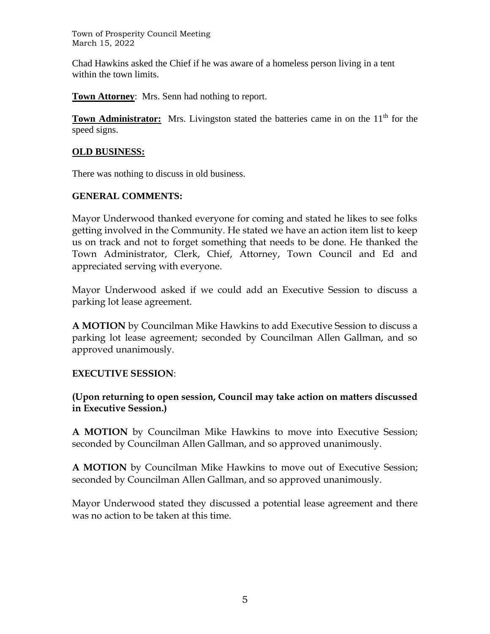Town of Prosperity Council Meeting March 15, 2022

Chad Hawkins asked the Chief if he was aware of a homeless person living in a tent within the town limits.

**Town Attorney**: Mrs. Senn had nothing to report.

**Town Administrator:** Mrs. Livingston stated the batteries came in on the 11<sup>th</sup> for the speed signs.

## **OLD BUSINESS:**

There was nothing to discuss in old business.

# **GENERAL COMMENTS:**

Mayor Underwood thanked everyone for coming and stated he likes to see folks getting involved in the Community. He stated we have an action item list to keep us on track and not to forget something that needs to be done. He thanked the Town Administrator, Clerk, Chief, Attorney, Town Council and Ed and appreciated serving with everyone.

Mayor Underwood asked if we could add an Executive Session to discuss a parking lot lease agreement.

**A MOTION** by Councilman Mike Hawkins to add Executive Session to discuss a parking lot lease agreement; seconded by Councilman Allen Gallman, and so approved unanimously.

## **EXECUTIVE SESSION**:

**(Upon returning to open session, Council may take action on matters discussed in Executive Session.)** 

**A MOTION** by Councilman Mike Hawkins to move into Executive Session; seconded by Councilman Allen Gallman, and so approved unanimously.

**A MOTION** by Councilman Mike Hawkins to move out of Executive Session; seconded by Councilman Allen Gallman, and so approved unanimously.

Mayor Underwood stated they discussed a potential lease agreement and there was no action to be taken at this time.